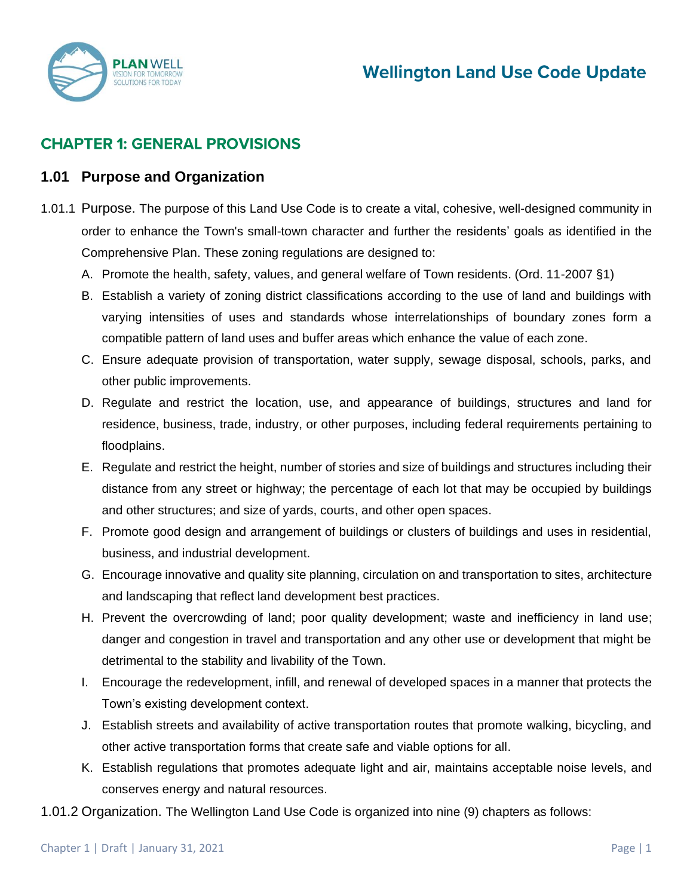

# **CHAPTER 1: GENERAL PROVISIONS**

#### **1.01 Purpose and Organization**

- 1.01.1 Purpose. The purpose of this Land Use Code is to create a vital, cohesive, well-designed community in order to enhance the Town's small-town character and further the residents' goals as identified in the Comprehensive Plan. These zoning regulations are designed to:
	- A. Promote the health, safety, values, and general welfare of Town residents. (Ord. 11-2007 §1)
	- B. Establish a variety of zoning district classifications according to the use of land and buildings with varying intensities of uses and standards whose interrelationships of boundary zones form a compatible pattern of land uses and buffer areas which enhance the value of each zone.
	- C. Ensure adequate provision of transportation, water supply, sewage disposal, schools, parks, and other public improvements.
	- D. Regulate and restrict the location, use, and appearance of buildings, structures and land for residence, business, trade, industry, or other purposes, including federal requirements pertaining to floodplains.
	- E. Regulate and restrict the height, number of stories and size of buildings and structures including their distance from any street or highway; the percentage of each lot that may be occupied by buildings and other structures; and size of yards, courts, and other open spaces.
	- F. Promote good design and arrangement of buildings or clusters of buildings and uses in residential, business, and industrial development.
	- G. Encourage innovative and quality site planning, circulation on and transportation to sites, architecture and landscaping that reflect land development best practices.
	- H. Prevent the overcrowding of land; poor quality development; waste and inefficiency in land use; danger and congestion in travel and transportation and any other use or development that might be detrimental to the stability and livability of the Town.
	- I. Encourage the redevelopment, infill, and renewal of developed spaces in a manner that protects the Town's existing development context.
	- J. Establish streets and availability of active transportation routes that promote walking, bicycling, and other active transportation forms that create safe and viable options for all.
	- K. Establish regulations that promotes adequate light and air, maintains acceptable noise levels, and conserves energy and natural resources.
- 1.01.2 Organization. The Wellington Land Use Code is organized into nine (9) chapters as follows: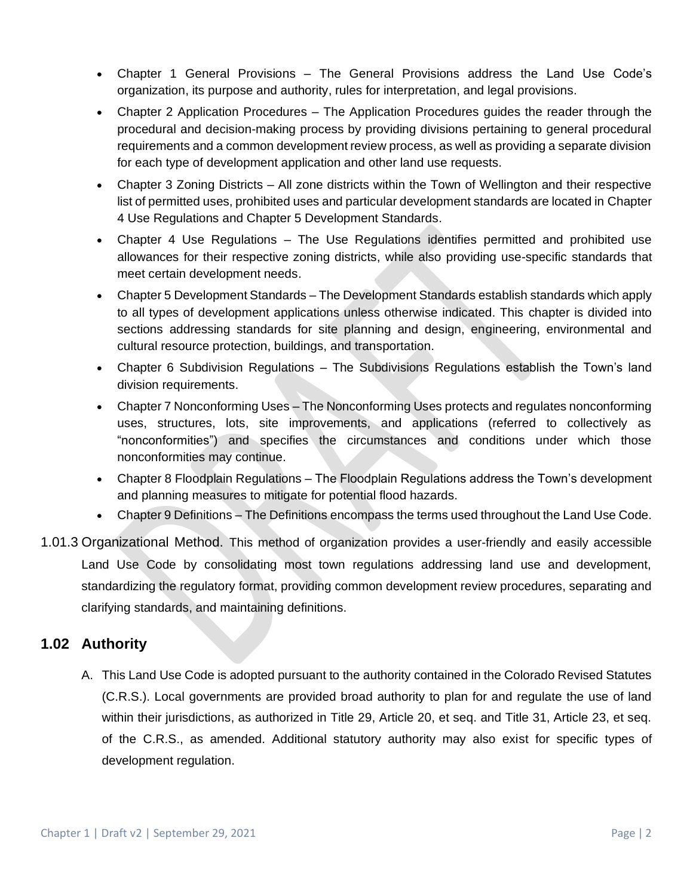- Chapter 1 General Provisions The General Provisions address the Land Use Code's organization, its purpose and authority, rules for interpretation, and legal provisions.
- Chapter 2 Application Procedures The Application Procedures guides the reader through the procedural and decision-making process by providing divisions pertaining to general procedural requirements and a common development review process, as well as providing a separate division for each type of development application and other land use requests.
- Chapter 3 Zoning Districts All zone districts within the Town of Wellington and their respective list of permitted uses, prohibited uses and particular development standards are located in Chapter 4 Use Regulations and Chapter 5 Development Standards.
- Chapter 4 Use Regulations The Use Regulations identifies permitted and prohibited use allowances for their respective zoning districts, while also providing use-specific standards that meet certain development needs.
- Chapter 5 Development Standards The Development Standards establish standards which apply to all types of development applications unless otherwise indicated. This chapter is divided into sections addressing standards for site planning and design, engineering, environmental and cultural resource protection, buildings, and transportation.
- Chapter 6 Subdivision Regulations The Subdivisions Regulations establish the Town's land division requirements.
- Chapter 7 Nonconforming Uses The Nonconforming Uses protects and regulates nonconforming uses, structures, lots, site improvements, and applications (referred to collectively as "nonconformities") and specifies the circumstances and conditions under which those nonconformities may continue.
- Chapter 8 Floodplain Regulations The Floodplain Regulations address the Town's development and planning measures to mitigate for potential flood hazards.
- Chapter 9 Definitions The Definitions encompass the terms used throughout the Land Use Code.
- 1.01.3 Organizational Method. This method of organization provides a user-friendly and easily accessible Land Use Code by consolidating most town regulations addressing land use and development, standardizing the regulatory format, providing common development review procedures, separating and clarifying standards, and maintaining definitions.

## **1.02 Authority**

A. This Land Use Code is adopted pursuant to the authority contained in the Colorado Revised Statutes (C.R.S.). Local governments are provided broad authority to plan for and regulate the use of land within their jurisdictions, as authorized in Title 29, Article 20, et seq. and Title 31, Article 23, et seq. of the C.R.S., as amended. Additional statutory authority may also exist for specific types of development regulation.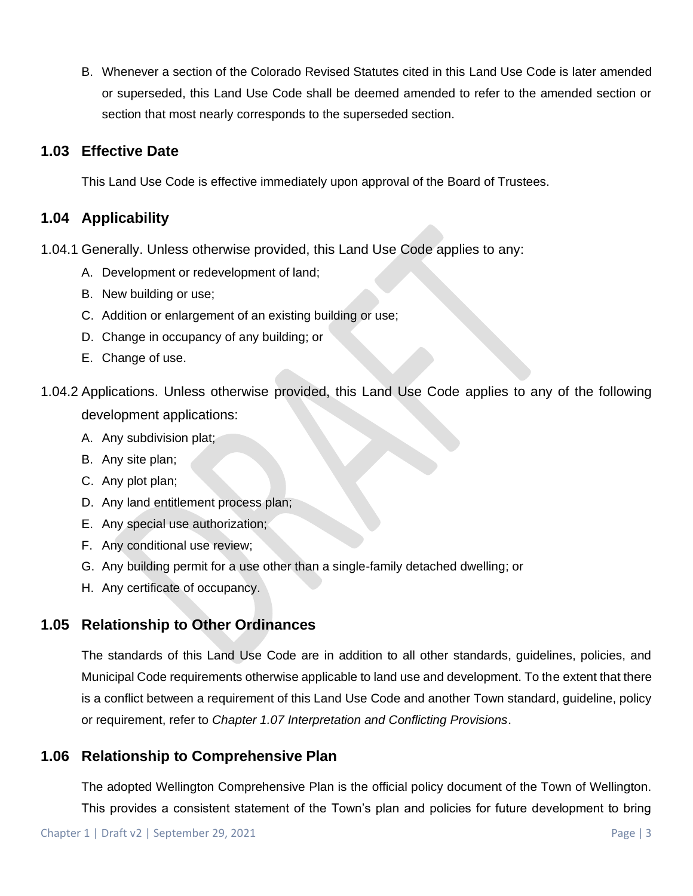B. Whenever a section of the Colorado Revised Statutes cited in this Land Use Code is later amended or superseded, this Land Use Code shall be deemed amended to refer to the amended section or section that most nearly corresponds to the superseded section.

#### **1.03 Effective Date**

This Land Use Code is effective immediately upon approval of the Board of Trustees.

#### **1.04 Applicability**

- 1.04.1 Generally. Unless otherwise provided, this Land Use Code applies to any:
	- A. Development or redevelopment of land;
	- B. New building or use;
	- C. Addition or enlargement of an existing building or use;
	- D. Change in occupancy of any building; or
	- E. Change of use.
- 1.04.2 Applications. Unless otherwise provided, this Land Use Code applies to any of the following development applications:
	- A. Any subdivision plat;
	- B. Any site plan;
	- C. Any plot plan;
	- D. Any land entitlement process plan;
	- E. Any special use authorization;
	- F. Any conditional use review;
	- G. Any building permit for a use other than a single-family detached dwelling; or
	- H. Any certificate of occupancy.

## **1.05 Relationship to Other Ordinances**

The standards of this Land Use Code are in addition to all other standards, guidelines, policies, and Municipal Code requirements otherwise applicable to land use and development. To the extent that there is a conflict between a requirement of this Land Use Code and another Town standard, guideline, policy or requirement, refer to *Chapter 1.07 Interpretation and Conflicting Provisions*.

### **1.06 Relationship to Comprehensive Plan**

The adopted Wellington Comprehensive Plan is the official policy document of the Town of Wellington. This provides a consistent statement of the Town's plan and policies for future development to bring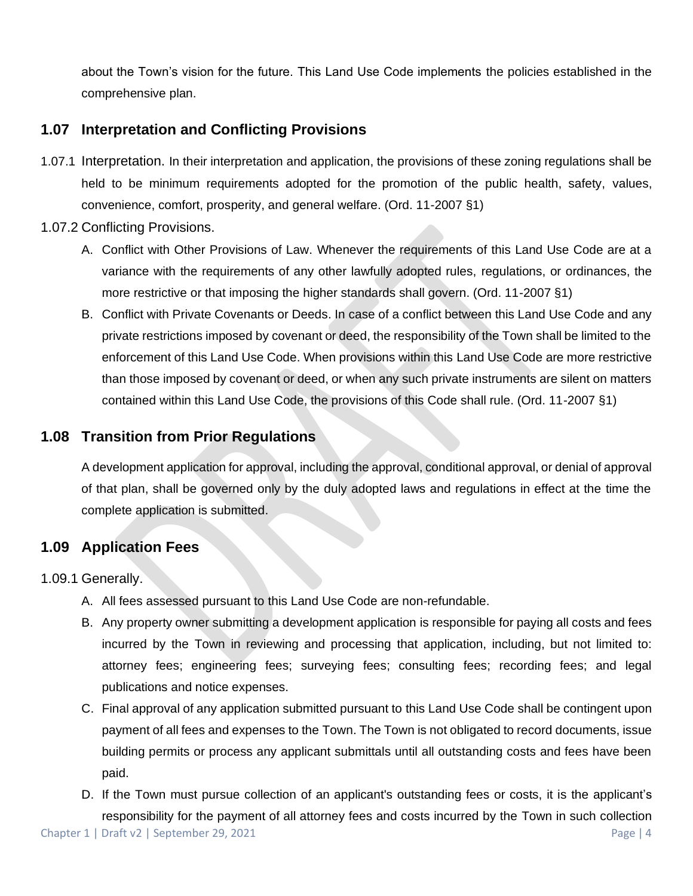about the Town's vision for the future. This Land Use Code implements the policies established in the comprehensive plan.

## **1.07 Interpretation and Conflicting Provisions**

- 1.07.1 Interpretation. In their interpretation and application, the provisions of these zoning regulations shall be held to be minimum requirements adopted for the promotion of the public health, safety, values, convenience, comfort, prosperity, and general welfare. (Ord. 11-2007 §1)
- 1.07.2 Conflicting Provisions.
	- A. Conflict with Other Provisions of Law. Whenever the requirements of this Land Use Code are at a variance with the requirements of any other lawfully adopted rules, regulations, or ordinances, the more restrictive or that imposing the higher standards shall govern. (Ord. 11-2007 §1)
	- B. Conflict with Private Covenants or Deeds. In case of a conflict between this Land Use Code and any private restrictions imposed by covenant or deed, the responsibility of the Town shall be limited to the enforcement of this Land Use Code. When provisions within this Land Use Code are more restrictive than those imposed by covenant or deed, or when any such private instruments are silent on matters contained within this Land Use Code, the provisions of this Code shall rule. (Ord. 11-2007 §1)

### **1.08 Transition from Prior Regulations**

A development application for approval, including the approval, conditional approval, or denial of approval of that plan, shall be governed only by the duly adopted laws and regulations in effect at the time the complete application is submitted.

## **1.09 Application Fees**

1.09.1 Generally.

- A. All fees assessed pursuant to this Land Use Code are non-refundable.
- B. Any property owner submitting a development application is responsible for paying all costs and fees incurred by the Town in reviewing and processing that application, including, but not limited to: attorney fees; engineering fees; surveying fees; consulting fees; recording fees; and legal publications and notice expenses.
- C. Final approval of any application submitted pursuant to this Land Use Code shall be contingent upon payment of all fees and expenses to the Town. The Town is not obligated to record documents, issue building permits or process any applicant submittals until all outstanding costs and fees have been paid.
- Chapter 1 | Draft v2 | September 29, 2021 Page | 4 D. If the Town must pursue collection of an applicant's outstanding fees or costs, it is the applicant's responsibility for the payment of all attorney fees and costs incurred by the Town in such collection